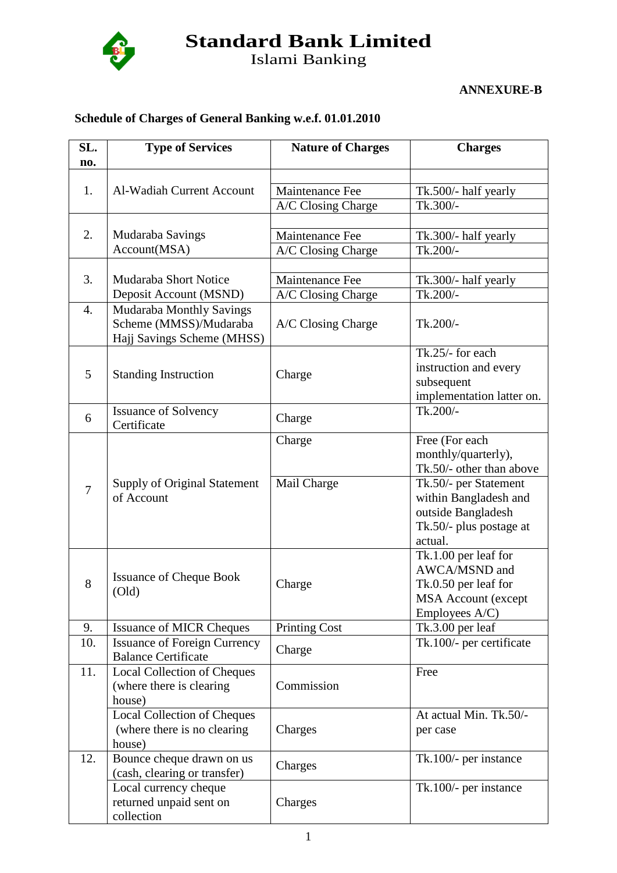

**Standard Bank Limited**

Islami Banking

**ANNEXURE-B**

## **Schedule of Charges of General Banking w.e.f. 01.01.2010**

| SL.              | <b>Type of Services</b>                                                                                    | <b>Nature of Charges</b>                 | <b>Charges</b>                                                                                                                                                                  |
|------------------|------------------------------------------------------------------------------------------------------------|------------------------------------------|---------------------------------------------------------------------------------------------------------------------------------------------------------------------------------|
| no.              |                                                                                                            |                                          |                                                                                                                                                                                 |
| 1.               | Al-Wadiah Current Account                                                                                  | Maintenance Fee                          | Tk.500/- half yearly                                                                                                                                                            |
|                  |                                                                                                            | A/C Closing Charge                       | Tk.300/-                                                                                                                                                                        |
| 2.               | Mudaraba Savings<br>Account(MSA)                                                                           | Maintenance Fee<br>A/C Closing Charge    | Tk.300/- half yearly<br>Tk.200/-                                                                                                                                                |
|                  |                                                                                                            |                                          |                                                                                                                                                                                 |
| 3.               | <b>Mudaraba Short Notice</b>                                                                               | Maintenance Fee                          | Tk.300/- half yearly                                                                                                                                                            |
| $\overline{4}$ . | Deposit Account (MSND)<br>Mudaraba Monthly Savings<br>Scheme (MMSS)/Mudaraba<br>Hajj Savings Scheme (MHSS) | A/C Closing Charge<br>A/C Closing Charge | Tk.200/-<br>Tk.200/-                                                                                                                                                            |
| 5                | <b>Standing Instruction</b>                                                                                | Charge                                   | Tk.25/- for each<br>instruction and every<br>subsequent<br>implementation latter on.                                                                                            |
| 6                | <b>Issuance of Solvency</b><br>Certificate                                                                 | Charge                                   | Tk.200/-                                                                                                                                                                        |
| $\overline{7}$   | Supply of Original Statement<br>of Account                                                                 | Charge<br>Mail Charge                    | Free (For each<br>monthly/quarterly),<br>Tk.50/- other than above<br>Tk.50/- per Statement<br>within Bangladesh and<br>outside Bangladesh<br>Tk.50/- plus postage at<br>actual. |
| 8                | <b>Issuance of Cheque Book</b><br>$\text{(Old)}$                                                           | Charge                                   | Tk.1.00 per leaf for<br>AWCA/MSND and<br>Tk.0.50 per leaf for<br><b>MSA Account (except</b><br>Employees A/C)                                                                   |
| 9.               | <b>Issuance of MICR Cheques</b>                                                                            | <b>Printing Cost</b>                     | Tk.3.00 per leaf                                                                                                                                                                |
| 10.              | <b>Issuance of Foreign Currency</b><br><b>Balance Certificate</b>                                          | Charge                                   | Tk.100/- per certificate                                                                                                                                                        |
| 11.              | <b>Local Collection of Cheques</b><br>(where there is clearing<br>house)                                   | Commission                               | Free                                                                                                                                                                            |
|                  | <b>Local Collection of Cheques</b><br>(where there is no clearing<br>house)                                | Charges                                  | At actual Min. Tk.50/-<br>per case                                                                                                                                              |
| 12.              | Bounce cheque drawn on us<br>(cash, clearing or transfer)                                                  | Charges                                  | Tk.100/- per instance                                                                                                                                                           |
|                  | Local currency cheque<br>returned unpaid sent on<br>collection                                             | Charges                                  | Tk.100/- per instance                                                                                                                                                           |